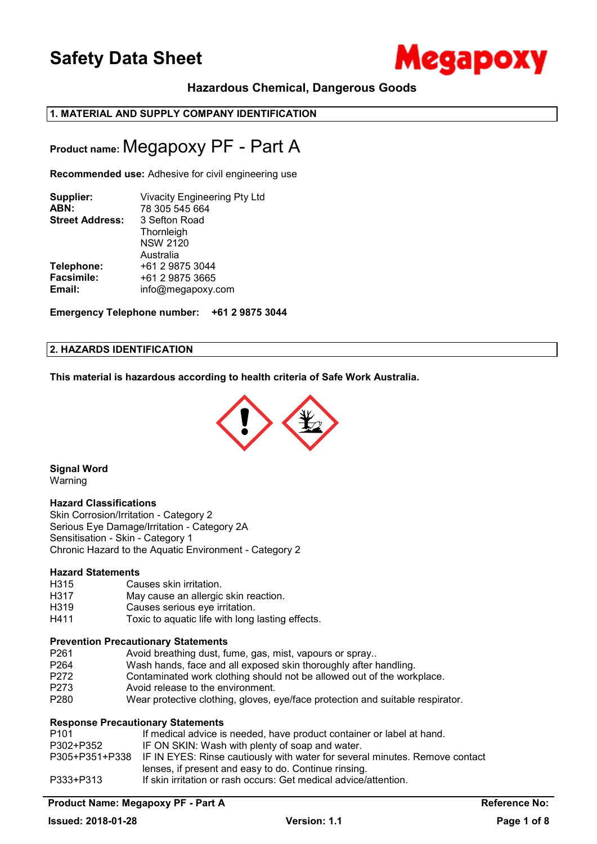

## **Hazardous Chemical, Dangerous Goods**

## **1. MATERIAL AND SUPPLY COMPANY IDENTIFICATION**

## **Product name:** Megapoxy PF - Part A

**Recommended use:** Adhesive for civil engineering use

| Supplier:<br>ABN:<br><b>Street Address:</b> | Vivacity Engineering Pty Ltd<br>78 305 545 664<br>3 Sefton Road<br>Thornleigh<br><b>NSW 2120</b><br>Australia |
|---------------------------------------------|---------------------------------------------------------------------------------------------------------------|
| Telephone:                                  | +61 2 9875 3044                                                                                               |
| <b>Facsimile:</b>                           | +61 2 9875 3665                                                                                               |
| Email:                                      | info@megapoxy.com                                                                                             |

**Emergency Telephone number: +61 2 9875 3044**

## **2. HAZARDS IDENTIFICATION**

**This material is hazardous according to health criteria of Safe Work Australia.**



**Signal Word** 

## Warning

### **Hazard Classifications**

Skin Corrosion/Irritation - Category 2 Serious Eye Damage/Irritation - Category 2A Sensitisation - Skin - Category 1 Chronic Hazard to the Aquatic Environment - Category 2

### **Hazard Statements**

- H315 Causes skin irritation.
- H317 May cause an allergic skin reaction.
- H319 Causes serious eye irritation.
- H411 Toxic to aquatic life with long lasting effects.

### **Prevention Precautionary Statements**

- P261 Avoid breathing dust, fume, gas, mist, vapours or spray...<br>P264 Wash hands, face and all exposed skin thoroughly after t
- P264 Wash hands, face and all exposed skin thoroughly after handling.<br>P272 Contaminated work clothing should not be allowed out of the work
- P272 Contaminated work clothing should not be allowed out of the workplace.<br>P273 Avoid release to the environment.
- P273 Avoid release to the environment.<br>
P280 Wear protective clothing, gloves, e
- Wear protective clothing, gloves, eye/face protection and suitable respirator.

## **Response Precautionary Statements**

| P101      | If medical advice is needed, have product container or label at hand.                      |
|-----------|--------------------------------------------------------------------------------------------|
| P302+P352 | IF ON SKIN: Wash with plenty of soap and water.                                            |
|           | P305+P351+P338 IF IN EYES: Rinse cautiously with water for several minutes. Remove contact |
|           | lenses, if present and easy to do. Continue rinsing.                                       |
| P333+P313 | If skin irritation or rash occurs: Get medical advice/attention.                           |

## **Product Name: Megapoxy PF - Part A Reference No:**  Reference No: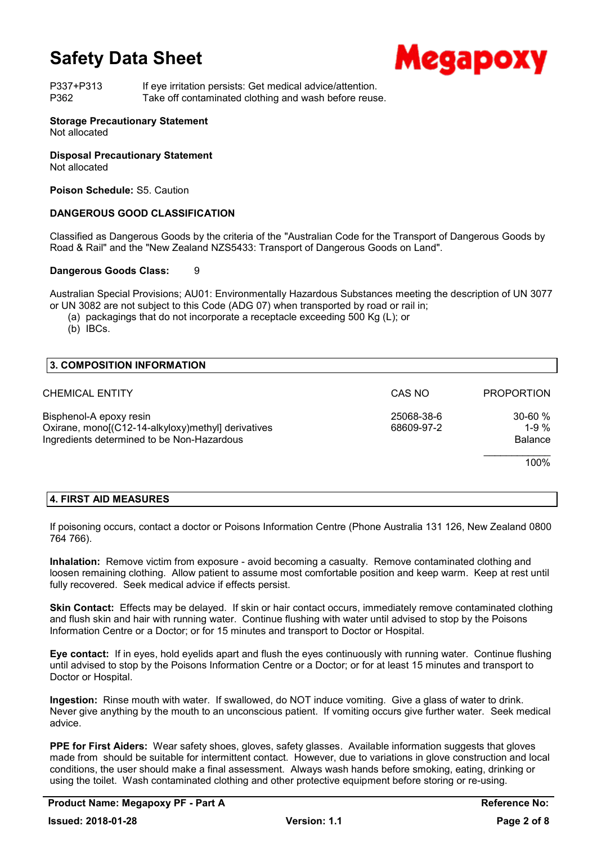

P337+P313 If eye irritation persists: Get medical advice/attention. P362 Take off contaminated clothing and wash before reuse.

## **Storage Precautionary Statement**

Not allocated

### **Disposal Precautionary Statement**

Not allocated

**Poison Schedule:** S5. Caution

### **DANGEROUS GOOD CLASSIFICATION**

Classified as Dangerous Goods by the criteria of the "Australian Code for the Transport of Dangerous Goods by Road & Rail" and the "New Zealand NZS5433: Transport of Dangerous Goods on Land".

### **Dangerous Goods Class:** 9

Australian Special Provisions; AU01: Environmentally Hazardous Substances meeting the description of UN 3077 or UN 3082 are not subject to this Code (ADG 07) when transported by road or rail in;

(a) packagings that do not incorporate a receptacle exceeding 500 Kg (L); or

(b) IBCs.

| <b>3. COMPOSITION INFORMATION</b>                                                                                           |                          |                                           |
|-----------------------------------------------------------------------------------------------------------------------------|--------------------------|-------------------------------------------|
| CHEMICAL ENTITY                                                                                                             | CAS NO                   | <b>PROPORTION</b>                         |
| Bisphenol-A epoxy resin<br>Oxirane, mono[(C12-14-alkyloxy)methyl] derivatives<br>Ingredients determined to be Non-Hazardous | 25068-38-6<br>68609-97-2 | $30 - 60 \%$<br>1-9 $%$<br><b>Balance</b> |
|                                                                                                                             |                          | 100%                                      |

## **4. FIRST AID MEASURES**

If poisoning occurs, contact a doctor or Poisons Information Centre (Phone Australia 131 126, New Zealand 0800 764 766).

**Inhalation:** Remove victim from exposure - avoid becoming a casualty. Remove contaminated clothing and loosen remaining clothing. Allow patient to assume most comfortable position and keep warm. Keep at rest until fully recovered. Seek medical advice if effects persist.

**Skin Contact:** Effects may be delayed. If skin or hair contact occurs, immediately remove contaminated clothing and flush skin and hair with running water. Continue flushing with water until advised to stop by the Poisons Information Centre or a Doctor; or for 15 minutes and transport to Doctor or Hospital.

**Eye contact:** If in eyes, hold eyelids apart and flush the eyes continuously with running water. Continue flushing until advised to stop by the Poisons Information Centre or a Doctor; or for at least 15 minutes and transport to Doctor or Hospital.

**Ingestion:** Rinse mouth with water. If swallowed, do NOT induce vomiting. Give a glass of water to drink. Never give anything by the mouth to an unconscious patient. If vomiting occurs give further water. Seek medical advice.

**PPE for First Aiders:** Wear safety shoes, gloves, safety glasses. Available information suggests that gloves made from should be suitable for intermittent contact. However, due to variations in glove construction and local conditions, the user should make a final assessment. Always wash hands before smoking, eating, drinking or using the toilet. Wash contaminated clothing and other protective equipment before storing or re-using.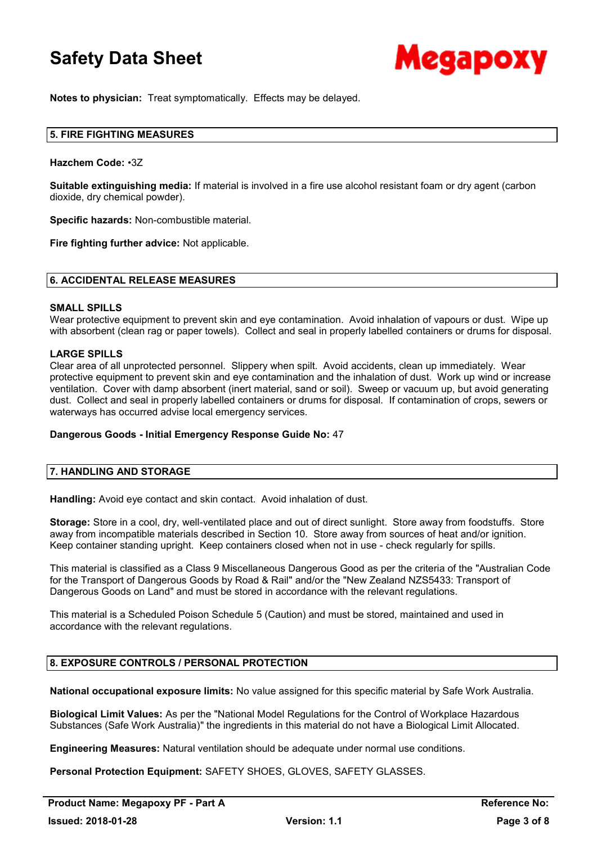

**Notes to physician:** Treat symptomatically. Effects may be delayed.

### **5. FIRE FIGHTING MEASURES**

#### **Hazchem Code:** •3Z

**Suitable extinguishing media:** If material is involved in a fire use alcohol resistant foam or dry agent (carbon dioxide, dry chemical powder).

**Specific hazards:** Non-combustible material.

**Fire fighting further advice:** Not applicable.

#### **6. ACCIDENTAL RELEASE MEASURES**

#### **SMALL SPILLS**

Wear protective equipment to prevent skin and eye contamination. Avoid inhalation of vapours or dust. Wipe up with absorbent (clean rag or paper towels). Collect and seal in properly labelled containers or drums for disposal.

### **LARGE SPILLS**

Clear area of all unprotected personnel. Slippery when spilt. Avoid accidents, clean up immediately. Wear protective equipment to prevent skin and eye contamination and the inhalation of dust. Work up wind or increase ventilation. Cover with damp absorbent (inert material, sand or soil). Sweep or vacuum up, but avoid generating dust. Collect and seal in properly labelled containers or drums for disposal. If contamination of crops, sewers or waterways has occurred advise local emergency services.

### **Dangerous Goods - Initial Emergency Response Guide No:** 47

### **7. HANDLING AND STORAGE**

**Handling:** Avoid eye contact and skin contact. Avoid inhalation of dust.

**Storage:** Store in a cool, dry, well-ventilated place and out of direct sunlight. Store away from foodstuffs. Store away from incompatible materials described in Section 10. Store away from sources of heat and/or ignition. Keep container standing upright. Keep containers closed when not in use - check regularly for spills.

This material is classified as a Class 9 Miscellaneous Dangerous Good as per the criteria of the "Australian Code for the Transport of Dangerous Goods by Road & Rail" and/or the "New Zealand NZS5433: Transport of Dangerous Goods on Land" and must be stored in accordance with the relevant regulations.

This material is a Scheduled Poison Schedule 5 (Caution) and must be stored, maintained and used in accordance with the relevant regulations.

### **8. EXPOSURE CONTROLS / PERSONAL PROTECTION**

**National occupational exposure limits:** No value assigned for this specific material by Safe Work Australia.

**Biological Limit Values:** As per the "National Model Regulations for the Control of Workplace Hazardous Substances (Safe Work Australia)" the ingredients in this material do not have a Biological Limit Allocated.

**Engineering Measures:** Natural ventilation should be adequate under normal use conditions.

**Personal Protection Equipment:** SAFETY SHOES, GLOVES, SAFETY GLASSES.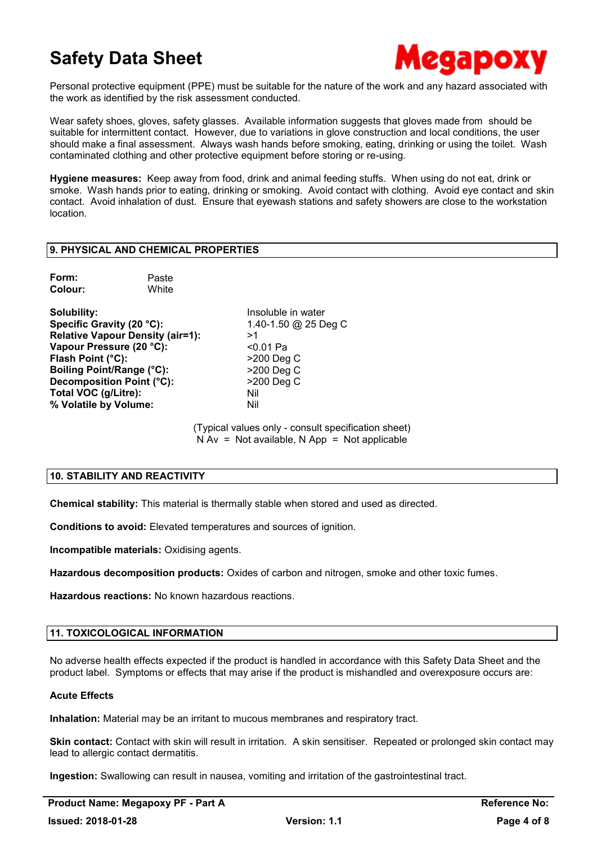

Personal protective equipment (PPE) must be suitable for the nature of the work and any hazard associated with the work as identified by the risk assessment conducted.

Wear safety shoes, gloves, safety glasses. Available information suggests that gloves made from should be suitable for intermittent contact. However, due to variations in glove construction and local conditions, the user should make a final assessment. Always wash hands before smoking, eating, drinking or using the toilet. Wash contaminated clothing and other protective equipment before storing or re-using.

**Hygiene measures:** Keep away from food, drink and animal feeding stuffs. When using do not eat, drink or smoke. Wash hands prior to eating, drinking or smoking. Avoid contact with clothing. Avoid eye contact and skin contact. Avoid inhalation of dust. Ensure that eyewash stations and safety showers are close to the workstation location.

## **9. PHYSICAL AND CHEMICAL PROPERTIES**

| Form:   | Paste |
|---------|-------|
| Colour: | White |

**Solubility:** Insoluble in water **Specific Gravity (20 °C):** 1.40-1.50 @ 25 Deg C **Relative Vapour Density (air=1):** >1<br>**Vapour Pressure (20 °C):** <0.01 Pa Vapour Pressure (20 °C): **Flash Point (°C):**  $>200 \text{ Deq C}$ **Boiling Point/Range (°C):** >200 Deg C **Decomposition Point (°C):** >200 Deg C **Total VOC (g/Litre):** Nil **% Volatile by Volume:** Nil

(Typical values only - consult specification sheet)  $N Av = Not available$ . N App = Not applicable

### **10. STABILITY AND REACTIVITY**

**Chemical stability:** This material is thermally stable when stored and used as directed.

**Conditions to avoid:** Elevated temperatures and sources of ignition.

**Incompatible materials:** Oxidising agents.

**Hazardous decomposition products:** Oxides of carbon and nitrogen, smoke and other toxic fumes.

**Hazardous reactions:** No known hazardous reactions.

### **11. TOXICOLOGICAL INFORMATION**

No adverse health effects expected if the product is handled in accordance with this Safety Data Sheet and the product label. Symptoms or effects that may arise if the product is mishandled and overexposure occurs are:

### **Acute Effects**

**Inhalation:** Material may be an irritant to mucous membranes and respiratory tract.

**Skin contact:** Contact with skin will result in irritation. A skin sensitiser. Repeated or prolonged skin contact may lead to allergic contact dermatitis.

**Ingestion:** Swallowing can result in nausea, vomiting and irritation of the gastrointestinal tract.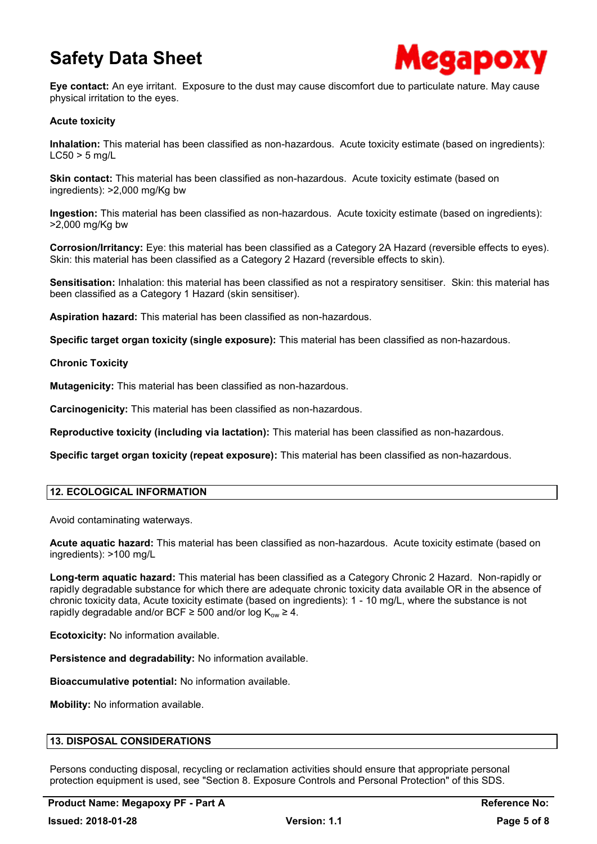

**Eye contact:** An eye irritant. Exposure to the dust may cause discomfort due to particulate nature. May cause physical irritation to the eyes.

## **Acute toxicity**

**Inhalation:** This material has been classified as non-hazardous. Acute toxicity estimate (based on ingredients):  $LC50 > 5$  mg/L

**Skin contact:** This material has been classified as non-hazardous. Acute toxicity estimate (based on ingredients): >2,000 mg/Kg bw

**Ingestion:** This material has been classified as non-hazardous. Acute toxicity estimate (based on ingredients): >2,000 mg/Kg bw

**Corrosion/Irritancy:** Eye: this material has been classified as a Category 2A Hazard (reversible effects to eyes). Skin: this material has been classified as a Category 2 Hazard (reversible effects to skin).

**Sensitisation:** Inhalation: this material has been classified as not a respiratory sensitiser. Skin: this material has been classified as a Category 1 Hazard (skin sensitiser).

**Aspiration hazard:** This material has been classified as non-hazardous.

**Specific target organ toxicity (single exposure):** This material has been classified as non-hazardous.

### **Chronic Toxicity**

**Mutagenicity:** This material has been classified as non-hazardous.

**Carcinogenicity:** This material has been classified as non-hazardous.

**Reproductive toxicity (including via lactation):** This material has been classified as non-hazardous.

**Specific target organ toxicity (repeat exposure):** This material has been classified as non-hazardous.

### **12. ECOLOGICAL INFORMATION**

Avoid contaminating waterways.

**Acute aquatic hazard:** This material has been classified as non-hazardous. Acute toxicity estimate (based on ingredients): >100 mg/L

**Long-term aquatic hazard:** This material has been classified as a Category Chronic 2 Hazard. Non-rapidly or rapidly degradable substance for which there are adequate chronic toxicity data available OR in the absence of chronic toxicity data, Acute toxicity estimate (based on ingredients): 1 - 10 mg/L, where the substance is not rapidly degradable and/or BCF  $\geq$  500 and/or log K<sub>ow</sub>  $\geq$  4.

**Ecotoxicity:** No information available.

**Persistence and degradability:** No information available.

**Bioaccumulative potential:** No information available.

**Mobility:** No information available.

## **13. DISPOSAL CONSIDERATIONS**

Persons conducting disposal, recycling or reclamation activities should ensure that appropriate personal protection equipment is used, see "Section 8. Exposure Controls and Personal Protection" of this SDS.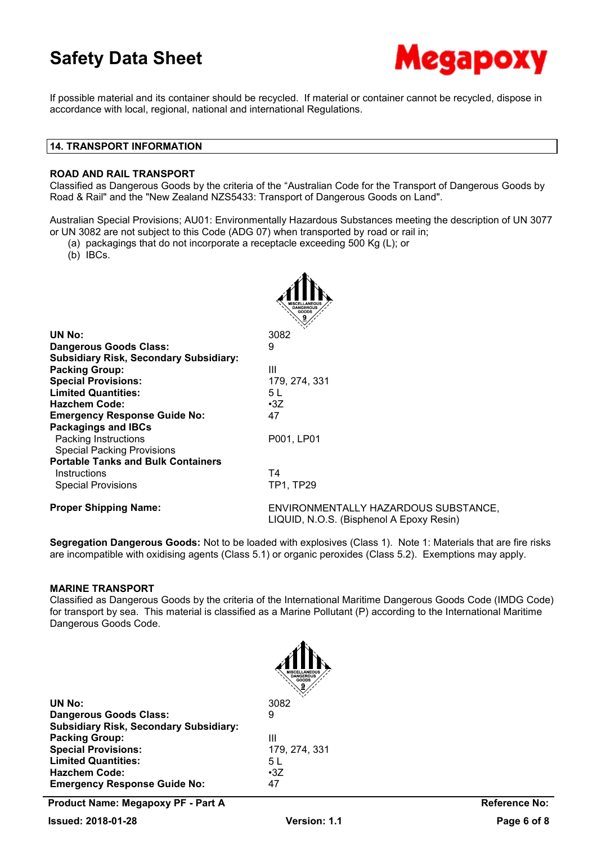

If possible material and its container should be recycled. If material or container cannot be recycled, dispose in accordance with local, regional, national and international Regulations.

### **14. TRANSPORT INFORMATION**

### **ROAD AND RAIL TRANSPORT**

Classified as Dangerous Goods by the criteria of the "Australian Code for the Transport of Dangerous Goods by Road & Rail" and the "New Zealand NZS5433: Transport of Dangerous Goods on Land".

Australian Special Provisions; AU01: Environmentally Hazardous Substances meeting the description of UN 3077 or UN 3082 are not subject to this Code (ADG 07) when transported by road or rail in;

- (a) packagings that do not incorporate a receptacle exceeding 500 Kg (L); or
- (b) IBCs.

| UN No:                                        | 3082                                                                             |
|-----------------------------------------------|----------------------------------------------------------------------------------|
| <b>Dangerous Goods Class:</b>                 | 9                                                                                |
| <b>Subsidiary Risk, Secondary Subsidiary:</b> |                                                                                  |
| <b>Packing Group:</b>                         | $\mathbf{H}$                                                                     |
| <b>Special Provisions:</b>                    | 179, 274, 331                                                                    |
| <b>Limited Quantities:</b>                    | 5 L                                                                              |
| <b>Hazchem Code:</b>                          | $\cdot 3Z$                                                                       |
| <b>Emergency Response Guide No:</b>           | 47                                                                               |
| <b>Packagings and IBCs</b>                    |                                                                                  |
| Packing Instructions                          | P001, LP01                                                                       |
| <b>Special Packing Provisions</b>             |                                                                                  |
| <b>Portable Tanks and Bulk Containers</b>     |                                                                                  |
| Instructions                                  | Τ4                                                                               |
| <b>Special Provisions</b>                     | TP1, TP29                                                                        |
| <b>Proper Shipping Name:</b>                  | ENVIRONMENTALLY HAZARDOUS SUBSTANCE,<br>LIQUID, N.O.S. (Bisphenol A Epoxy Resin) |

**Segregation Dangerous Goods:** Not to be loaded with explosives (Class 1). Note 1: Materials that are fire risks are incompatible with oxidising agents (Class 5.1) or organic peroxides (Class 5.2). Exemptions may apply.

### **MARINE TRANSPORT**

Classified as Dangerous Goods by the criteria of the International Maritime Dangerous Goods Code (IMDG Code) for transport by sea. This material is classified as a Marine Pollutant (P) according to the International Maritime Dangerous Goods Code.

| UN No:                                        | 3082       |
|-----------------------------------------------|------------|
| <b>Dangerous Goods Class:</b>                 | 9          |
| <b>Subsidiary Risk, Secondary Subsidiary:</b> |            |
| <b>Packing Group:</b>                         | Ш          |
| <b>Special Provisions:</b>                    | 179.       |
| <b>Limited Quantities:</b>                    | 5 L        |
| <b>Hazchem Code:</b>                          | $\cdot 37$ |
| <b>Emergency Response Guide No:</b>           | 47         |
|                                               |            |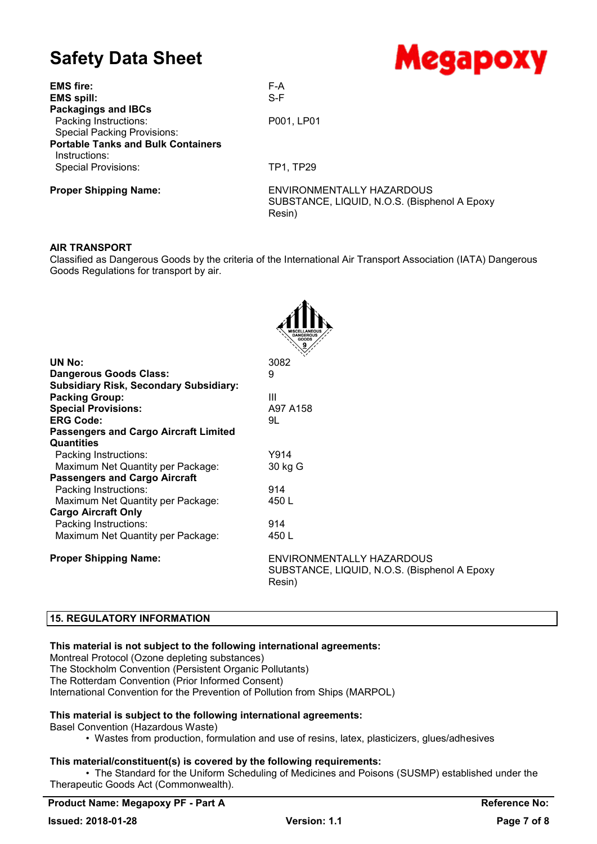| $\bullet$ , $\bullet$ , $\bullet$         | <u>incan pon</u>                                                                     |
|-------------------------------------------|--------------------------------------------------------------------------------------|
| <b>EMS fire:</b>                          | F-A                                                                                  |
| <b>EMS spill:</b>                         | $S-F$                                                                                |
| <b>Packagings and IBCs</b>                |                                                                                      |
| Packing Instructions:                     | P001, LP01                                                                           |
| <b>Special Packing Provisions:</b>        |                                                                                      |
| <b>Portable Tanks and Bulk Containers</b> |                                                                                      |
| Instructions:                             |                                                                                      |
| <b>Special Provisions:</b>                | TP1, TP29                                                                            |
| <b>Proper Shipping Name:</b>              | ENVIRONMENTALLY HAZARDOUS<br>SUBSTANCE, LIQUID, N.O.S. (Bisphenol A Epoxy)<br>Resin) |

### **AIR TRANSPORT**

Classified as Dangerous Goods by the criteria of the International Air Transport Association (IATA) Dangerous Goods Regulations for transport by air.

 $\mathbf{A}$ 

|                                               | MISCELLANEOUS<br>GOODS                                                              |
|-----------------------------------------------|-------------------------------------------------------------------------------------|
| UN No:                                        | 3082                                                                                |
| <b>Dangerous Goods Class:</b>                 | 9                                                                                   |
| <b>Subsidiary Risk, Secondary Subsidiary:</b> |                                                                                     |
| <b>Packing Group:</b>                         | Ш                                                                                   |
| <b>Special Provisions:</b>                    | A97 A158                                                                            |
| <b>ERG Code:</b>                              | 9L                                                                                  |
| <b>Passengers and Cargo Aircraft Limited</b>  |                                                                                     |
| <b>Quantities</b>                             |                                                                                     |
| Packing Instructions:                         | Y914                                                                                |
| Maximum Net Quantity per Package:             | 30 kg G                                                                             |
| <b>Passengers and Cargo Aircraft</b>          |                                                                                     |
| Packing Instructions:                         | 914                                                                                 |
| Maximum Net Quantity per Package:             | 450 L                                                                               |
| <b>Cargo Aircraft Only</b>                    |                                                                                     |
| Packing Instructions:                         | 914                                                                                 |
| Maximum Net Quantity per Package:             | 450 L                                                                               |
| <b>Proper Shipping Name:</b>                  | ENVIRONMENTALLY HAZARDOUS<br>SUBSTANCE, LIQUID, N.O.S. (Bisphenol A Epoxy<br>Resin) |

## **15. REGULATORY INFORMATION**

### **This material is not subject to the following international agreements:**

Montreal Protocol (Ozone depleting substances) The Stockholm Convention (Persistent Organic Pollutants) The Rotterdam Convention (Prior Informed Consent) International Convention for the Prevention of Pollution from Ships (MARPOL)

### **This material is subject to the following international agreements:**

Basel Convention (Hazardous Waste)

• Wastes from production, formulation and use of resins, latex, plasticizers, glues/adhesives

### **This material/constituent(s) is covered by the following requirements:**

• The Standard for the Uniform Scheduling of Medicines and Poisons (SUSMP) established under the Therapeutic Goods Act (Commonwealth).

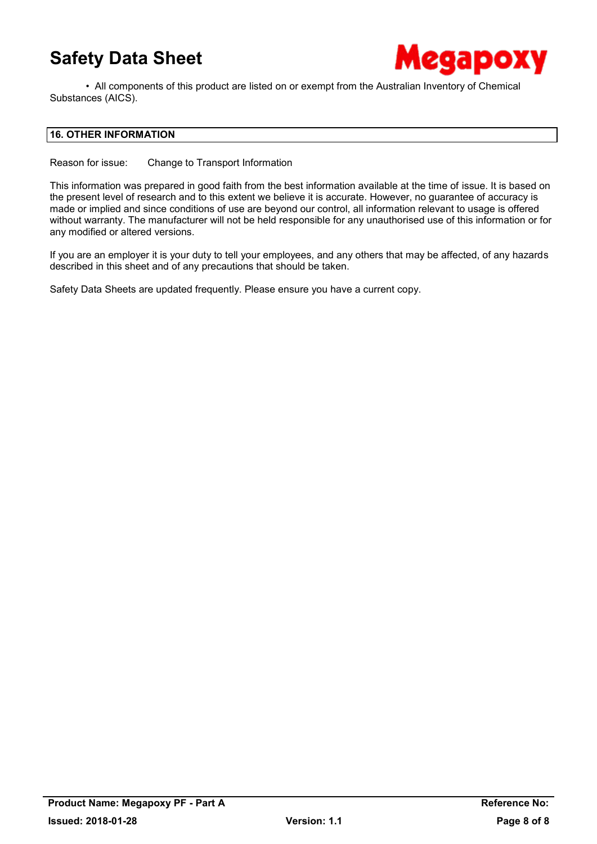

• All components of this product are listed on or exempt from the Australian Inventory of Chemical Substances (AICS).

## **16. OTHER INFORMATION**

Reason for issue: Change to Transport Information

This information was prepared in good faith from the best information available at the time of issue. It is based on the present level of research and to this extent we believe it is accurate. However, no guarantee of accuracy is made or implied and since conditions of use are beyond our control, all information relevant to usage is offered without warranty. The manufacturer will not be held responsible for any unauthorised use of this information or for any modified or altered versions.

If you are an employer it is your duty to tell your employees, and any others that may be affected, of any hazards described in this sheet and of any precautions that should be taken.

Safety Data Sheets are updated frequently. Please ensure you have a current copy.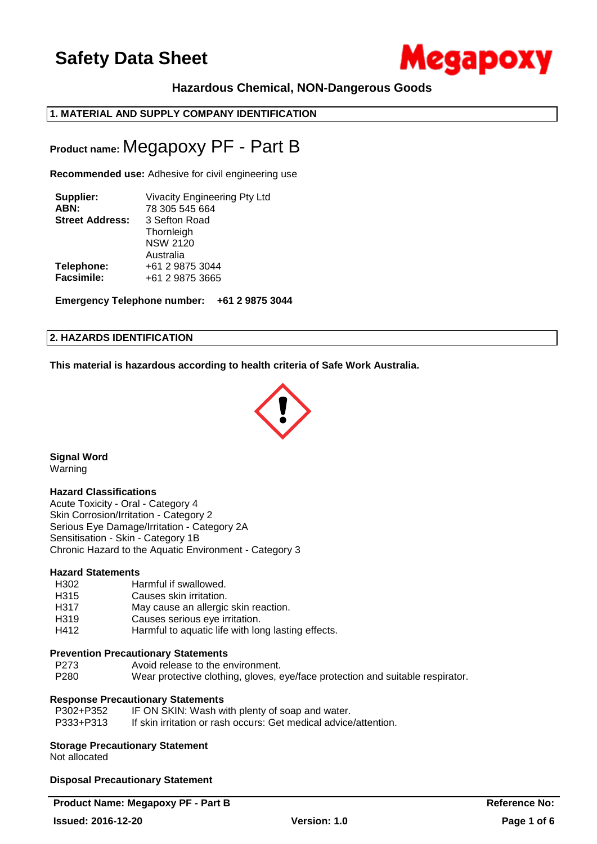

## **Hazardous Chemical, NON-Dangerous Goods**

## **1. MATERIAL AND SUPPLY COMPANY IDENTIFICATION**

## **Product name:** Megapoxy PF - Part B

**Recommended use:** Adhesive for civil engineering use

| Supplier:              | Vivacity Engineering Pty Ltd               |
|------------------------|--------------------------------------------|
| ABN:                   | 78 305 545 664                             |
| <b>Street Address:</b> | 3 Sefton Road                              |
|                        | Thornleigh<br><b>NSW 2120</b><br>Australia |
| Telephone:             | +61 2 9875 3044                            |
| Facsimile:             | +61 2 9875 3665                            |

**Emergency Telephone number: +61 2 9875 3044**

### **2. HAZARDS IDENTIFICATION**

**This material is hazardous according to health criteria of Safe Work Australia.**



**Signal Word** Warning

### **Hazard Classifications**

Acute Toxicity - Oral - Category 4 Skin Corrosion/Irritation - Category 2 Serious Eye Damage/Irritation - Category 2A Sensitisation - Skin - Category 1B Chronic Hazard to the Aquatic Environment - Category 3

### **Hazard Statements**

- H302 Harmful if swallowed.
- H315 Causes skin irritation.
- H317 May cause an allergic skin reaction.
- H319 Causes serious eye irritation.
- H412 Harmful to aquatic life with long lasting effects.

### **Prevention Precautionary Statements**

P273 Avoid release to the environment. P280 Wear protective clothing, gloves, eye/face protection and suitable respirator.

### **Response Precautionary Statements**

| P302+P352 | IF ON SKIN: Wash with plenty of soap and water.                  |
|-----------|------------------------------------------------------------------|
| P333+P313 | If skin irritation or rash occurs: Get medical advice/attention. |

### **Storage Precautionary Statement**

Not allocated

**Disposal Precautionary Statement**

### **Product Name: Megapoxy PF - Part B Reference No:**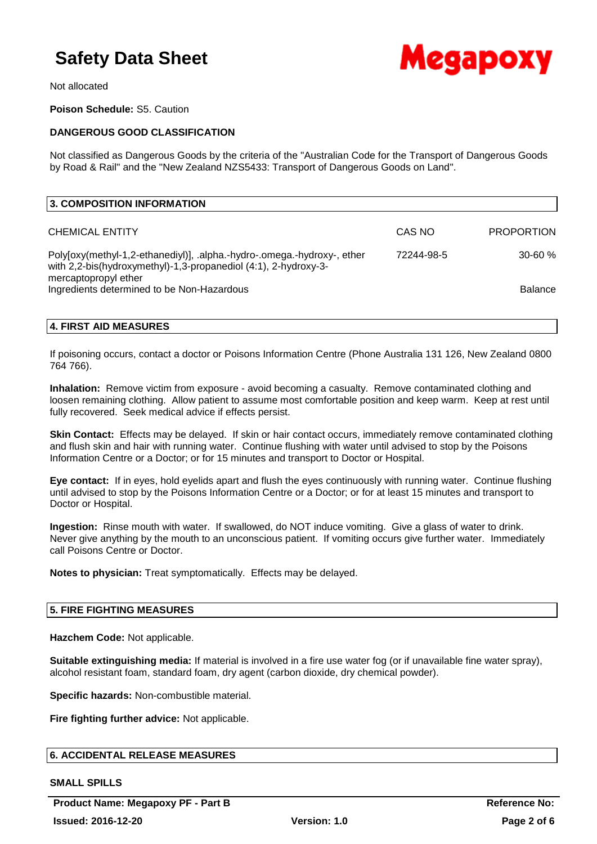

Not allocated

**Poison Schedule:** S5. Caution

## **DANGEROUS GOOD CLASSIFICATION**

Not classified as Dangerous Goods by the criteria of the "Australian Code for the Transport of Dangerous Goods by Road & Rail" and the "New Zealand NZS5433: Transport of Dangerous Goods on Land".

| 3. COMPOSITION INFORMATION                                                                                                                                         |            |                   |
|--------------------------------------------------------------------------------------------------------------------------------------------------------------------|------------|-------------------|
| <b>CHEMICAL ENTITY</b>                                                                                                                                             | CAS NO     | <b>PROPORTION</b> |
| Poly[oxy(methyl-1,2-ethanediyl)], .alpha.-hydro-.omega.-hydroxy-, ether<br>with 2,2-bis(hydroxymethyl)-1,3-propanediol (4:1), 2-hydroxy-3-<br>mercaptopropyl ether | 72244-98-5 | $30 - 60 \%$      |
| Ingredients determined to be Non-Hazardous                                                                                                                         |            | <b>Balance</b>    |

## **4. FIRST AID MEASURES**

If poisoning occurs, contact a doctor or Poisons Information Centre (Phone Australia 131 126, New Zealand 0800 764 766).

**Inhalation:** Remove victim from exposure - avoid becoming a casualty. Remove contaminated clothing and loosen remaining clothing. Allow patient to assume most comfortable position and keep warm. Keep at rest until fully recovered. Seek medical advice if effects persist.

**Skin Contact:** Effects may be delayed. If skin or hair contact occurs, immediately remove contaminated clothing and flush skin and hair with running water. Continue flushing with water until advised to stop by the Poisons Information Centre or a Doctor; or for 15 minutes and transport to Doctor or Hospital.

**Eye contact:** If in eyes, hold eyelids apart and flush the eyes continuously with running water. Continue flushing until advised to stop by the Poisons Information Centre or a Doctor; or for at least 15 minutes and transport to Doctor or Hospital.

**Ingestion:** Rinse mouth with water. If swallowed, do NOT induce vomiting. Give a glass of water to drink. Never give anything by the mouth to an unconscious patient. If vomiting occurs give further water. Immediately call Poisons Centre or Doctor.

**Notes to physician:** Treat symptomatically. Effects may be delayed.

## **5. FIRE FIGHTING MEASURES**

**Hazchem Code:** Not applicable.

**Suitable extinguishing media:** If material is involved in a fire use water fog (or if unavailable fine water spray), alcohol resistant foam, standard foam, dry agent (carbon dioxide, dry chemical powder).

**Specific hazards:** Non-combustible material.

**Fire fighting further advice:** Not applicable.

## **6. ACCIDENTAL RELEASE MEASURES**

### **SMALL SPILLS**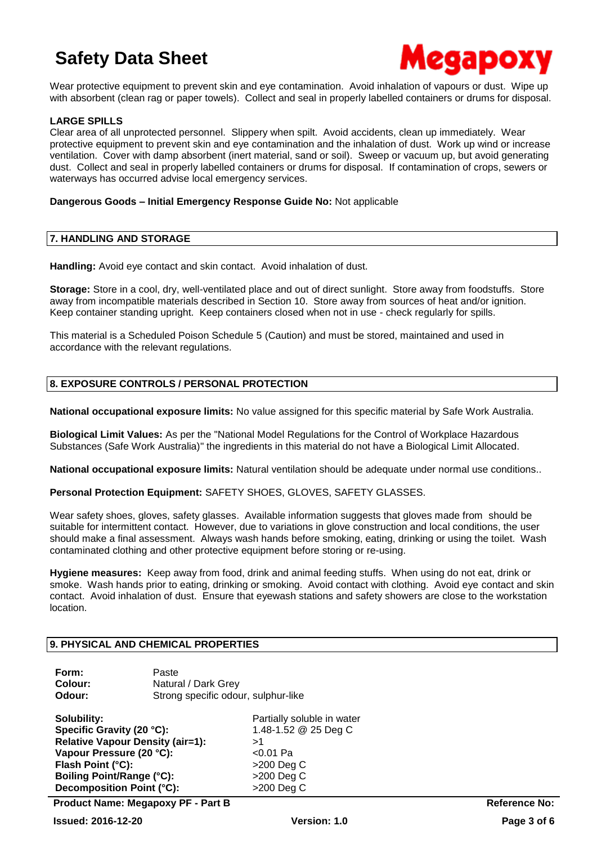

Wear protective equipment to prevent skin and eye contamination. Avoid inhalation of vapours or dust. Wipe up with absorbent (clean rag or paper towels). Collect and seal in properly labelled containers or drums for disposal.

### **LARGE SPILLS**

Clear area of all unprotected personnel. Slippery when spilt. Avoid accidents, clean up immediately. Wear protective equipment to prevent skin and eye contamination and the inhalation of dust. Work up wind or increase ventilation. Cover with damp absorbent (inert material, sand or soil). Sweep or vacuum up, but avoid generating dust. Collect and seal in properly labelled containers or drums for disposal. If contamination of crops, sewers or waterways has occurred advise local emergency services.

### **Dangerous Goods – Initial Emergency Response Guide No:** Not applicable

#### **7. HANDLING AND STORAGE**

**Handling:** Avoid eye contact and skin contact. Avoid inhalation of dust.

**Storage:** Store in a cool, dry, well-ventilated place and out of direct sunlight. Store away from foodstuffs. Store away from incompatible materials described in Section 10. Store away from sources of heat and/or ignition. Keep container standing upright. Keep containers closed when not in use - check regularly for spills.

This material is a Scheduled Poison Schedule 5 (Caution) and must be stored, maintained and used in accordance with the relevant regulations.

## **8. EXPOSURE CONTROLS / PERSONAL PROTECTION**

**National occupational exposure limits:** No value assigned for this specific material by Safe Work Australia.

**Biological Limit Values:** As per the "National Model Regulations for the Control of Workplace Hazardous Substances (Safe Work Australia)" the ingredients in this material do not have a Biological Limit Allocated.

**National occupational exposure limits:** Natural ventilation should be adequate under normal use conditions..

**Personal Protection Equipment:** SAFETY SHOES, GLOVES, SAFETY GLASSES.

Wear safety shoes, gloves, safety glasses. Available information suggests that gloves made from should be suitable for intermittent contact. However, due to variations in glove construction and local conditions, the user should make a final assessment. Always wash hands before smoking, eating, drinking or using the toilet. Wash contaminated clothing and other protective equipment before storing or re-using.

**Hygiene measures:** Keep away from food, drink and animal feeding stuffs. When using do not eat, drink or smoke. Wash hands prior to eating, drinking or smoking. Avoid contact with clothing. Avoid eye contact and skin contact. Avoid inhalation of dust. Ensure that eyewash stations and safety showers are close to the workstation location.

### **9. PHYSICAL AND CHEMICAL PROPERTIES**

| Form:   | Paste                               |
|---------|-------------------------------------|
| Colour: | Natural / Dark Grey                 |
| Odour:  | Strong specific odour, sulphur-like |

**Solubility: Partially soluble in water Specific Gravity (20 °C):** 1.48-1.52 @ 25 Deg C **Relative Vapour Density (air=1):** >1 **Vapour Pressure (20 °C):** <0.01 Pa **Flash Point (°C):**  $>200 \text{ Deq C}$ **Boiling Point/Range (°C):** >200 Deg C **Decomposition Point (°C):** >200 Deg C

**Product Name: Megapoxy PF - Part B Reference No:**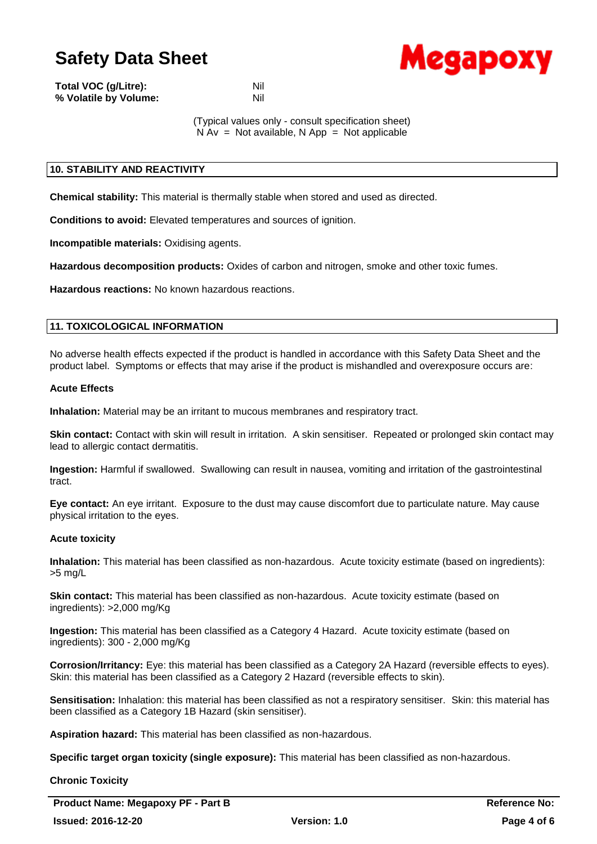

| Total VOC (g/Litre):  | Nil |
|-----------------------|-----|
| % Volatile by Volume: | Nil |

(Typical values only - consult specification sheet)  $N Av = Not available, N App = Not applicable$ 

## **10. STABILITY AND REACTIVITY**

**Chemical stability:** This material is thermally stable when stored and used as directed.

**Conditions to avoid:** Elevated temperatures and sources of ignition.

**Incompatible materials:** Oxidising agents.

**Hazardous decomposition products:** Oxides of carbon and nitrogen, smoke and other toxic fumes.

**Hazardous reactions:** No known hazardous reactions.

## **11. TOXICOLOGICAL INFORMATION**

No adverse health effects expected if the product is handled in accordance with this Safety Data Sheet and the product label. Symptoms or effects that may arise if the product is mishandled and overexposure occurs are:

### **Acute Effects**

**Inhalation:** Material may be an irritant to mucous membranes and respiratory tract.

**Skin contact:** Contact with skin will result in irritation. A skin sensitiser. Repeated or prolonged skin contact may lead to allergic contact dermatitis.

**Ingestion:** Harmful if swallowed. Swallowing can result in nausea, vomiting and irritation of the gastrointestinal tract.

**Eye contact:** An eye irritant. Exposure to the dust may cause discomfort due to particulate nature. May cause physical irritation to the eyes.

### **Acute toxicity**

**Inhalation:** This material has been classified as non-hazardous. Acute toxicity estimate (based on ingredients): >5 mg/L

**Skin contact:** This material has been classified as non-hazardous. Acute toxicity estimate (based on ingredients): >2,000 mg/Kg

**Ingestion:** This material has been classified as a Category 4 Hazard. Acute toxicity estimate (based on ingredients): 300 - 2,000 mg/Kg

**Corrosion/Irritancy:** Eye: this material has been classified as a Category 2A Hazard (reversible effects to eyes). Skin: this material has been classified as a Category 2 Hazard (reversible effects to skin).

**Sensitisation:** Inhalation: this material has been classified as not a respiratory sensitiser. Skin: this material has been classified as a Category 1B Hazard (skin sensitiser).

**Aspiration hazard:** This material has been classified as non-hazardous.

**Specific target organ toxicity (single exposure):** This material has been classified as non-hazardous.

**Chronic Toxicity**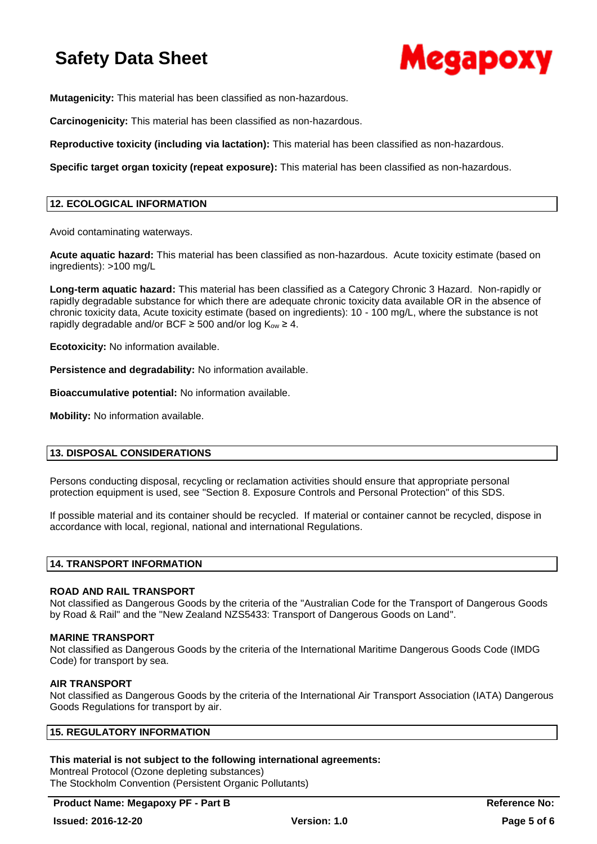

**Mutagenicity:** This material has been classified as non-hazardous.

**Carcinogenicity:** This material has been classified as non-hazardous.

**Reproductive toxicity (including via lactation):** This material has been classified as non-hazardous.

**Specific target organ toxicity (repeat exposure):** This material has been classified as non-hazardous.

## **12. ECOLOGICAL INFORMATION**

Avoid contaminating waterways.

**Acute aquatic hazard:** This material has been classified as non-hazardous. Acute toxicity estimate (based on ingredients): >100 mg/L

**Long-term aquatic hazard:** This material has been classified as a Category Chronic 3 Hazard. Non-rapidly or rapidly degradable substance for which there are adequate chronic toxicity data available OR in the absence of chronic toxicity data, Acute toxicity estimate (based on ingredients): 10 - 100 mg/L, where the substance is not rapidly degradable and/or BCF  $\geq$  500 and/or log K<sub>ow</sub>  $\geq$  4.

**Ecotoxicity:** No information available.

**Persistence and degradability:** No information available.

**Bioaccumulative potential:** No information available.

**Mobility:** No information available.

### **13. DISPOSAL CONSIDERATIONS**

Persons conducting disposal, recycling or reclamation activities should ensure that appropriate personal protection equipment is used, see "Section 8. Exposure Controls and Personal Protection" of this SDS.

If possible material and its container should be recycled. If material or container cannot be recycled, dispose in accordance with local, regional, national and international Regulations.

### **14. TRANSPORT INFORMATION**

### **ROAD AND RAIL TRANSPORT**

Not classified as Dangerous Goods by the criteria of the "Australian Code for the Transport of Dangerous Goods by Road & Rail" and the "New Zealand NZS5433: Transport of Dangerous Goods on Land".

### **MARINE TRANSPORT**

Not classified as Dangerous Goods by the criteria of the International Maritime Dangerous Goods Code (IMDG Code) for transport by sea.

### **AIR TRANSPORT**

Not classified as Dangerous Goods by the criteria of the International Air Transport Association (IATA) Dangerous Goods Regulations for transport by air.

## **15. REGULATORY INFORMATION**

### **This material is not subject to the following international agreements:**

Montreal Protocol (Ozone depleting substances) The Stockholm Convention (Persistent Organic Pollutants)